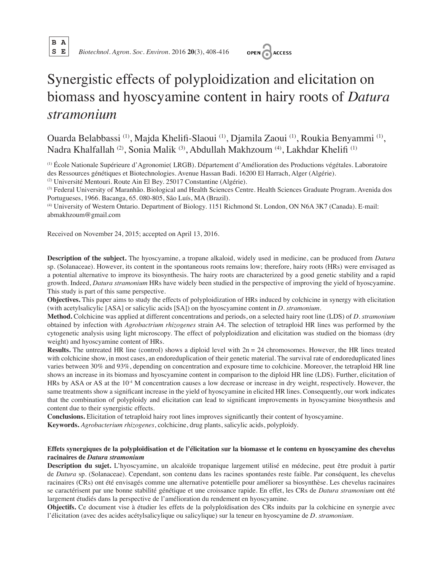

 **S E** *Biotechnol. Agron. Soc. Environ.* 2016 **20**(3), 408-416



# Synergistic effects of polyploidization and elicitation on biomass and hyoscyamine content in hairy roots of *Datura stramonium*

Ouarda Belabbassi (1), Majda Khelifi-Slaoui (1), Djamila Zaoui (1), Roukia Benyammi (1), Nadra Khalfallah (2), Sonia Malik (3), Abdullah Makhzoum (4), Lakhdar Khelifi (1)

(1) École Nationale Supérieure d'Agronomie( LRGB). Département d'Amélioration des Productions végétales. Laboratoire des Ressources génétiques et Biotechnologies. Avenue Hassan Badi. 16200 El Harrach, Alger (Algérie).

(2) Université Mentouri. Route Ain El Bey. 25017 Constantine (Algérie).

(3) Federal University of Maranhão. Biological and Health Sciences Centre. Health Sciences Graduate Program. Avenida dos Portugueses, 1966. Bacanga, 65. 080-805, São Luís, MA (Brazil).

(4) University of Western Ontario. Department of Biology. 1151 Richmond St. London, ON N6A 3K7 (Canada). E-mail: abmakhzoum@gmail.com

Received on November 24, 2015; accepted on April 13, 2016.

**Description of the subject.** The hyoscyamine, a tropane alkaloid, widely used in medicine, can be produced from *Datura* sp. (Solanaceae). However, its content in the spontaneous roots remains low; therefore, hairy roots (HRs) were envisaged as a potential alternative to improve its biosynthesis. The hairy roots are characterized by a good genetic stability and a rapid growth. Indeed, *Datura stramonium* HRs have widely been studied in the perspective of improving the yield of hyoscyamine. This study is part of this same perspective.

**Objectives.** This paper aims to study the effects of polyploidization of HRs induced by colchicine in synergy with elicitation (with acetylsalicylic [ASA] or salicylic acids [SA]) on the hyoscyamine content in *D. stramonium*.

**Method.** Colchicine was applied at different concentrations and periods, on a selected hairy root line (LDS) of *D. stramonium* obtained by infection with *Agrobactrium rhizogenes* strain A4. The selection of tetraploid HR lines was performed by the cytogenetic analysis using light microscopy. The effect of polyploidization and elicitation was studied on the biomass (dry weight) and hyoscyamine content of HRs.

**Results.** The untreated HR line (control) shows a diploid level with  $2n = 24$  chromosomes. However, the HR lines treated with colchicine show, in most cases, an endoreduplication of their genetic material. The survival rate of endoreduplicated lines varies between 30% and 93%, depending on concentration and exposure time to colchicine. Moreover, the tetraploid HR line shows an increase in its biomass and hyoscyamine content in comparison to the diploid HR line (LDS). Further, elicitation of HRs by ASA or AS at the  $10<sup>-4</sup>$  M concentration causes a low decrease or increase in dry weight, respectively. However, the same treatments show a significant increase in the yield of hyoscyamine in elicited HR lines. Consequently, our work indicates that the combination of polyploidy and elicitation can lead to significant improvements in hyoscyamine biosynthesis and content due to their synergistic effects.

**Conclusions.** Elicitation of tetraploid hairy root lines improves significantly their content of hyoscyamine.

**Keywords.** *Agrobacterium rhizogenes*, colchicine, drug plants, salicylic acids, polyploidy.

## **Effets synergiques de la polyploïdisation et de l'élicitation sur la biomasse et le contenu en hyoscyamine des chevelus racinaires de** *Datura stramonium*

**Description du sujet.** L'hyoscyamine, un alcaloïde tropanique largement utilisé en médecine, peut être produit à partir de *Datura* sp. (Solanaceae). Cependant, son contenu dans les racines spontanées reste faible. Par conséquent, les chevelus racinaires (CRs) ont été envisagés comme une alternative potentielle pour améliorer sa biosynthèse. Les chevelus racinaires se caractérisent par une bonne stabilité génétique et une croissance rapide. En effet, les CRs de *Datura stramonium* ont été largement étudiés dans la perspective de l'amélioration du rendement en hyoscyamine.

**Objectifs.** Ce document vise à étudier les effets de la polyploïdisation des CRs induits par la colchicine en synergie avec l'élicitation (avec des acides acétylsalicylique ou salicylique) sur la teneur en hyoscyamine de *D. stramonium*.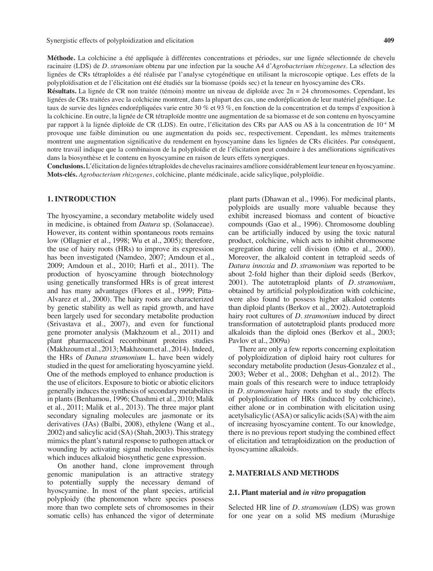**Méthode.** La colchicine a été appliquée à différentes concentrations et périodes, sur une lignée sélectionnée de chevelu racinaire (LDS) de *D. stramonium* obtenu par une infection par la souche A4 d'*Agrobacterium rhizogenes*. La sélection des lignées de CRs tétraploïdes a été réalisée par l'analyse cytogénétique en utilisant la microscopie optique. Les effets de la polyploïdisation et de l'élicitation ont été étudiés sur la biomasse (poids sec) et la teneur en hyoscyamine des CRs.

**Résultats.** La lignée de CR non traitée (témoin) montre un niveau de diploïde avec 2n = 24 chromosomes. Cependant, les lignées de CRs traitées avec la colchicine montrent, dans la plupart des cas, une endoréplication de leur matériel génétique. Le taux de survie des lignées endorépliquées varie entre 30 % et 93 %, en fonction de la concentration et du temps d'exposition à la colchicine. En outre, la lignée de CR tétraploïde montre une augmentation de sa biomasse et de son contenu en hyoscyamine par rapport à la lignée diploïde de CR (LDS). En outre, l'élicitation des CRs par AAS ou AS à la concentration de 10-4 M provoque une faible diminution ou une augmentation du poids sec, respectivement. Cependant, les mêmes traitements montrent une augmentation significative du rendement en hyoscyamine dans les lignées de CRs élicitées. Par conséquent, notre travail indique que la combinaison de la polyploïdie et de l'élicitation peut conduire à des améliorations significatives dans la biosynthèse et le contenu en hyoscyamine en raison de leurs effets synergiques.

**Conclusions.** L'élicitation de lignéestétraploïdes de chevelusracinaires améliore considérablement leurteneur en hyoscyamine. **Mots-clés.** *Agrobacterium rhizogenes*, colchicine, plante médicinale, acide salicylique, polyploïdie.

# **1. INTRODUCTION**

The hyoscyamine, a secondary metabolite widely used in medicine, is obtained from *Datura* sp. (Solanaceae). However, its content within spontaneous roots remains low (Ollagnier et al., 1998; Wu et al., 2005); therefore, the use of hairy roots (HRs) to improve its expression has been investigated (Namdeo, 2007; Amdoun et al., 2009; Amdoun et al., 2010; Harfi et al., 2011). The production of hyoscyamine through biotechnology using genetically transformed HRs is of great interest and has many advantages (Flores et al., 1999; Pitta-Alvarez et al., 2000). The hairy roots are characterized by genetic stability as well as rapid growth, and have been largely used for secondary metabolite production (Srivastava et al., 2007), and even for functional gene promoter analysis (Makhzoum et al., 2011) and plant pharmaceutical recombinant proteins studies (Makhzoum et al., 2013; Makhzoum et al., 2014). Indeed, the HRs of *Datura stramonium* L. have been widely studied in the quest for ameliorating hyoscyamine yield. One of the methods employed to enhance production is the use of elicitors. Exposure to biotic or abiotic elicitors generally induces the synthesis of secondary metabolites in plants (Benhamou, 1996; Chashmi et al., 2010; Malik et al., 2011; Malik et al., 2013). The three major plant secondary signaling molecules are jasmonate or its derivatives (JAs) (Balbi, 2008), ethylene (Wang et al., 2002) and salicylic acid (SA) (Shah, 2003). This strategy mimics the plant's natural response to pathogen attack or wounding by activating signal molecules biosynthesis which induces alkaloid biosynthetic gene expression.

On another hand, clone improvement through genomic manipulation is an attractive strategy to potentially supply the necessary demand of hyoscyamine. In most of the plant species, artificial polyploidy (the phenomenon where species possess more than two complete sets of chromosomes in their somatic cells) has enhanced the vigor of determinate plant parts (Dhawan et al., 1996). For medicinal plants, polyploids are usually more valuable because they exhibit increased biomass and content of bioactive compounds (Gao et al., 1996). Chromosome doubling can be artificially induced by using the toxic natural product, colchicine, which acts to inhibit chromosome segregation during cell division (Otto et al., 2000). Moreover, the alkaloid content in tetraploid seeds of *Datura innoxia* and *D. stramonium* was reported to be about 2-fold higher than their diploid seeds (Berkov, 2001). The autotetraploid plants of *D. stramonium*, obtained by artificial polyploidization with colchicine, were also found to possess higher alkaloid contents than diploid plants (Berkov et al., 2002). Autotetraploid hairy root cultures of *D. stramonium* induced by direct transformation of autotetraploid plants produced more alkaloids than the diploid ones (Berkov et al., 2003; Pavlov et al., 2009a)

There are only a few reports concerning exploitation of polyploidization of diploid hairy root cultures for secondary metabolite production (Jesus-Gonzalez et al., 2003; Weber et al., 2008; Dehghan et al., 2012). The main goals of this research were to induce tetraploidy in *D. stramonium* hairy roots and to study the effects of polyploidization of HRs (induced by colchicine), either alone or in combination with elicitation using acetylsalicylic (ASA) orsalicylic acids(SA) with the aim of increasing hyoscyamine content. To our knowledge, there is no previous report studying the combined effect of elicitation and tetraploidization on the production of hyoscyamine alkaloids.

#### **2. MATERIALS AND METHODS**

#### **2.1. Plant material and** *in vitro* **propagation**

Selected HR line of *D. stramonium* (LDS) was grown for one year on a solid MS medium (Murashige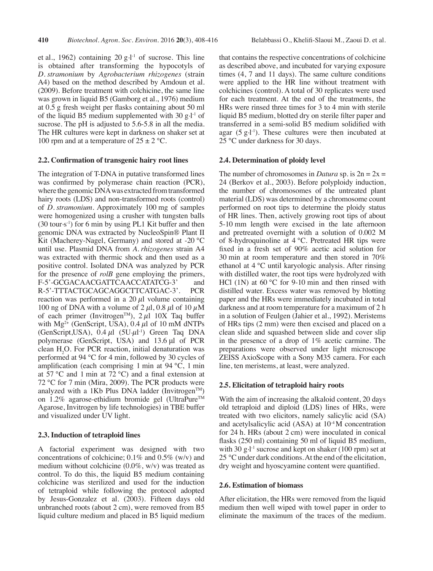et al., 1962) containing 20  $g·l<sup>-1</sup>$  of sucrose. This line is obtained after transforming the hypocotyls of *D. stramonium* by *Agrobacterium rhizogenes* (strain A4) based on the method described by Amdoun et al. (2009). Before treatment with colchicine, the same line was grown in liquid B5 (Gamborg et al., 1976) medium at 0.5 g fresh weight per flasks containing about 50 ml of the liquid B5 medium supplemented with 30 g.l<sup>-1</sup> of sucrose. The pH is adjusted to 5.6-5.8 in all the media. The HR cultures were kept in darkness on shaker set at 100 rpm and at a temperature of  $25 \pm 2$  °C.

### **2.2. Confirmation of transgenic hairy root lines**

The integration of T-DNA in putative transformed lines was confirmed by polymerase chain reaction (PCR), where the genomic DNA was extracted from transformed hairy roots (LDS) and non-transformed roots (control) of *D. stramonium*. Approximately 100 mg of samples were homogenized using a crusher with tungsten balls  $(30 \text{ tour} \cdot \text{s}^{-1})$  for 6 min by using PL1 Kit buffer and then genomic DNA was extracted by NucleoSpin® Plant II Kit (Macherey-Nagel, Germany) and stored at -20 °C until use. Plasmid DNA from *A. rhizogenes* strain A4 was extracted with thermic shock and then used as a positive control. Isolated DNA was analyzed by PCR for the presence of *rolB* gene employing the primers, F-5'-GCGACAACGATTCAACCATATCG-3' and R-5'-TTTACTGCAGCAGGCTTCATGAC-3'. PCR reaction was performed in a 20  $\mu$ l volume containing 100 ng of DNA with a volume of 2  $\mu$ l, 0.8  $\mu$ l of 10  $\mu$ M of each primer (Invitrogen<sup>TM</sup>),  $2 \mu$ l 10X Taq buffer with  $Mg^{2+}$  (GenScript, USA), 0.4  $\mu$ l of 10 mM dNTPs  $(GenScript, USA)$ ,  $0.4 \mu l$   $(5U \mu l^{-1})$  Green Taq DNA polymerase (GenScript, USA) and 13.6 μl of PCR clean  $H_2O$ . For PCR reaction, initial denaturation was performed at 94 °C for 4 min, followed by 30 cycles of amplification (each comprising 1 min at 94 °C, 1 min at 57 °C and 1 min at 72 °C) and a final extension at 72 °C for 7 min (Mira, 2009). The PCR products were analyzed with a 1Kb Plus DNA ladder (Invitrogen<sup>TM</sup>) on 1.2% agarose-ethidium bromide gel (UltraPure™ Agarose, Invitrogen by life technologies) in TBE buffer and visualized under UV light.

## **2.3. Induction of tetraploid lines**

A factorial experiment was designed with two concentrations of colchicine; 0.1% and 0.5% (w/v) and medium without colchicine (0.0%, w/v) was treated as control. To do this, the liquid B5 medium containing colchicine was sterilized and used for the induction of tetraploid while following the protocol adopted by Jesus-Gonzalez et al. (2003). Fifteen days old unbranched roots (about 2 cm), were removed from B5 liquid culture medium and placed in B5 liquid medium

that contains the respective concentrations of colchicine as described above, and incubated for varying exposure times (4, 7 and 11 days). The same culture conditions were applied to the HR line without treatment with colchicines (control). A total of 30 replicates were used for each treatment. At the end of the treatments, the HRs were rinsed three times for 3 to 4 min with sterile liquid B5 medium, blotted dry on sterile filter paper and transferred in a semi-solid B5 medium solidified with agar  $(5 g·l<sup>-1</sup>)$ . These cultures were then incubated at 25 °C under darkness for 30 days.

### **2.4. Determination of ploidy level**

The number of chromosomes in *Datura* sp. is  $2n = 2x =$ 24 (Berkov et al., 2003). Before polyploidy induction, the number of chromosomes of the untreated plant material (LDS) was determined by a chromosome count performed on root tips to determine the ploidy status of HR lines. Then, actively growing root tips of about 5-10 mm length were excised in the late afternoon and pretreated overnight with a solution of 0.002 M of 8-hydroquinoline at 4 °C. Pretreated HR tips were fixed in a fresh set of 90% acetic acid solution for 30 min at room temperature and then stored in 70% ethanol at 4 °C until karyologic analysis. After rinsing with distilled water, the root tips were hydrolyzed with HCl (1N) at 60 °C for 9-10 min and then rinsed with distilled water. Excess water was removed by blotting paper and the HRs were immediately incubated in total darkness and at room temperature for a maximum of 2 h in a solution of Feulgen (Jahier et al., 1992). Meristems of HRs tips (2 mm) were then excised and placed on a clean slide and squashed between slide and cover slip in the presence of a drop of 1% acetic carmine. The preparations were observed under light microscope ZEISS AxioScope with a Sony M35 camera. For each line, ten meristems, at least, were analyzed.

## **2.5. Elicitation of tetraploid hairy roots**

With the aim of increasing the alkaloid content, 20 days old tetraploid and diploid (LDS) lines of HRs, were treated with two elicitors, namely salicylic acid (SA) and acetylsalicylic acid  $(ASA)$  at  $10<sup>-4</sup>M$  concentration for 24 h. HRs (about 2 cm) were inoculated in conical flasks (250 ml) containing 50 ml of liquid B5 medium, with 30 g.<sup>1-1</sup> sucrose and kept on shaker (100 rpm) set at 25 °C under dark conditions. At the end of the elicitation, dry weight and hyoscyamine content were quantified.

### **2.6. Estimation of biomass**

After elicitation, the HRs were removed from the liquid medium then well wiped with towel paper in order to eliminate the maximum of the traces of the medium.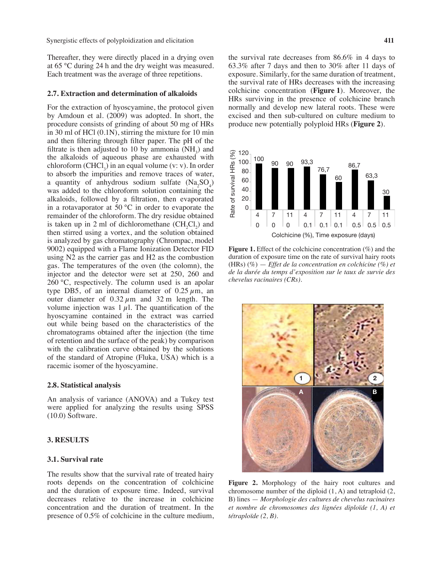Synergistic effects of polyploidization and elicitation **411** 

Thereafter, they were directly placed in a drying oven at 65 °C during 24 h and the dry weight was measured. Each treatment was the average of three repetitions.

#### **2.7. Extraction and determination of alkaloids**

For the extraction of hyoscyamine, the protocol given by Amdoun et al. (2009) was adopted. In short, the procedure consists of grinding of about 50 mg of HRs in 30 ml of HCl (0.1N), stirring the mixture for 10 min and then filtering through filter paper. The pH of the filtrate is then adjusted to 10 by ammonia  $(NH_3)$  and the alkaloids of aqueous phase are exhausted with chloroform  $(CHCl<sub>3</sub>)$  in an equal volume (v: v). In order to absorb the impurities and remove traces of water, a quantity of anhydrous sodium sulfate  $(Na_2SO_4)$ was added to the chloroform solution containing the alkaloids, followed by a filtration, then evaporated in a rotavaporator at 50  $^{\circ}$ C in order to evaporate the remainder of the chloroform. The dry residue obtained is taken up in 2 ml of dichloromethane  $(CH_2Cl_2)$  and then stirred using a vortex, and the solution obtained is analyzed by gas chromatography (Chrompac, model 9002) equipped with a Flame Ionization Detector FID using N2 as the carrier gas and H2 as the combustion gas. The temperatures of the oven (the colomn), the injector and the detector were set at 250, 260 and 260 °C, respectively. The column used is an apolar type DB5, of an internal diameter of  $0.25 \mu m$ , an outer diameter of  $0.32 \mu m$  and  $32 m$  length. The volume injection was  $1 \mu$ . The quantification of the hyoscyamine contained in the extract was carried out while being based on the characteristics of the chromatograms obtained after the injection (the time of retention and the surface of the peak) by comparison with the calibration curve obtained by the solutions of the standard of Atropine (Fluka, USA) which is a racemic isomer of the hyoscyamine.

## **2.8. Statistical analysis**

An analysis of variance (ANOVA) and a Tukey test were applied for analyzing the results using SPSS (10.0) Software.

## **3. RESULTS**

## **3.1. Survival rate**

The results show that the survival rate of treated hairy roots depends on the concentration of colchicine and the duration of exposure time. Indeed, survival decreases relative to the increase in colchicine concentration and the duration of treatment. In the presence of 0.5% of colchicine in the culture medium, the survival rate decreases from 86.6% in 4 days to 63.3% after 7 days and then to 30% after 11 days of exposure. Similarly, for the same duration of treatment, the survival rate of HRs decreases with the increasing colchicine concentration (**Figure 1**). Moreover, the HRs surviving in the presence of colchicine branch normally and develop new lateral roots. These were excised and then sub-cultured on culture medium to produce new potentially polyploid HRs (**Figure 2**).



**Figure 1.** Effect of the colchicine concentration (%) and the duration of exposure time on the rate of survival hairy roots (HRs) (%) — *Effet de la concentration en colchicine (%) et de la durée du temps d'exposition sur le taux de survie des chevelus racinaires (CRs)*.



**Figure 2.** Morphology of the hairy root cultures and chromosome number of the diploid (1, A) and tetraploid (2, B) lines — *Morphologie des cultures de chevelus racinaires et nombre de chromosomes des lignées diploïde (1, A) et tétraploïde (2, B)*.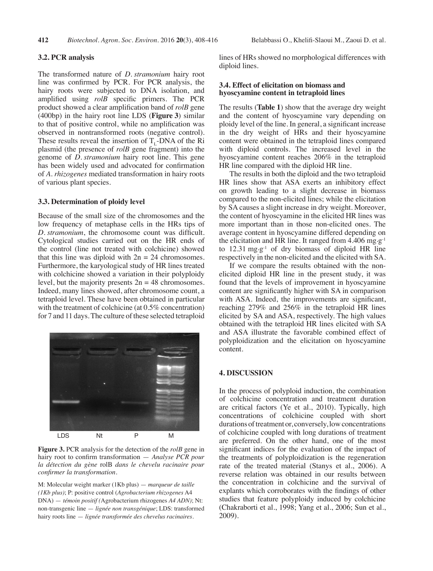#### **3.2. PCR analysis**

The transformed nature of *D. stramonium* hairy root line was confirmed by PCR. For PCR analysis, the hairy roots were subjected to DNA isolation, and amplified using *rolB* specific primers. The PCR product showed a clear amplification band of *rolB* gene (400bp) in the hairy root line LDS (**Figure 3**) similar to that of positive control, while no amplification was observed in nontransformed roots (negative control). These results reveal the insertion of  $T_{\text{L}}$ -DNA of the Ri plasmid (the presence of *rolB* gene fragment) into the genome of *D. stramonium* hairy root line. This gene has been widely used and advocated for confirmation of *A. rhizogenes* mediated transformation in hairy roots of various plant species.

#### **3.3. Determination of ploidy level**

Because of the small size of the chromosomes and the low frequency of metaphase cells in the HRs tips of *D. stramonium*, the chromosome count was difficult. Cytological studies carried out on the HR ends of the control (line not treated with colchicine) showed that this line was diploid with  $2n = 24$  chromosomes. Furthermore, the karyological study of HR lines treated with colchicine showed a variation in their polyploidy level, but the majority presents  $2n = 48$  chromosomes. Indeed, many lines showed, after chromosome count, a tetraploid level. These have been obtained in particular with the treatment of colchicine (at  $0.5\%$  concentration) for 7 and 11 days. The culture of these selected tetraploid



**Figure 3.** PCR analysis for the detection of the *rolB* gene in hairy root to confirm transformation — *Analyse PCR pour la détection du gène* rolB *dans le chevelu racinaire pour confirmer la transformation.* 

M: Molecular weight marker (1Kb plus) — *marqueur de taille (1Kb plus)*; P: positive control (*Agrobacterium rhizogenes* A4 DNA) — *témoin positif (*Agrobacterium rhizogenes *A4 ADN)*; Nt: non-transgenic line — *lignée non transgénique*; LDS: transformed hairy roots line — *lignée transformée des chevelus racinaires.*

lines of HRs showed no morphological differences with diploid lines.

#### **3.4. Effect of elicitation on biomass and hyoscyamine content in tetraploid lines**

The results (**Table 1**) show that the average dry weight and the content of hyoscyamine vary depending on ploidy level of the line. In general, a significant increase in the dry weight of HRs and their hyoscyamine content were obtained in the tetraploid lines compared with diploid controls. The increased level in the hyoscyamine content reaches 206% in the tetraploid HR line compared with the diploid HR line.

The results in both the diploid and the two tetraploid HR lines show that ASA exerts an inhibitory effect on growth leading to a slight decrease in biomass compared to the non-elicited lines; while the elicitation by SA causes a slight increase in dry weight. Moreover, the content of hyoscyamine in the elicited HR lines was more important than in those non-elicited ones. The average content in hyoscyamine differed depending on the elicitation and HR line. It ranged from 4.406 mg·g<sup>-1</sup> to  $12.31 \text{ mg}\cdot\text{g}^{-1}$  of dry biomass of diploid HR line respectively in the non-elicited and the elicited with SA.

If we compare the results obtained with the nonelicited diploid HR line in the present study, it was found that the levels of improvement in hyoscyamine content are significantly higher with SA in comparison with ASA. Indeed, the improvements are significant, reaching 279% and 256% in the tetraploid HR lines elicited by SA and ASA, respectively. The high values obtained with the tetraploid HR lines elicited with SA and ASA illustrate the favorable combined effect of polyploidization and the elicitation on hyoscyamine content.

## **4. DISCUSSION**

In the process of polyploid induction, the combination of colchicine concentration and treatment duration are critical factors (Ye et al., 2010). Typically, high concentrations of colchicine coupled with short durations of treatment or, conversely, low concentrations of colchicine coupled with long durations of treatment are preferred. On the other hand, one of the most significant indices for the evaluation of the impact of the treatments of polyploidization is the regeneration rate of the treated material (Stanys et al., 2006). A reverse relation was obtained in our results between the concentration in colchicine and the survival of explants which corroborates with the findings of other studies that feature polyploidy induced by colchicine (Chakraborti et al., 1998; Yang et al., 2006; Sun et al., 2009).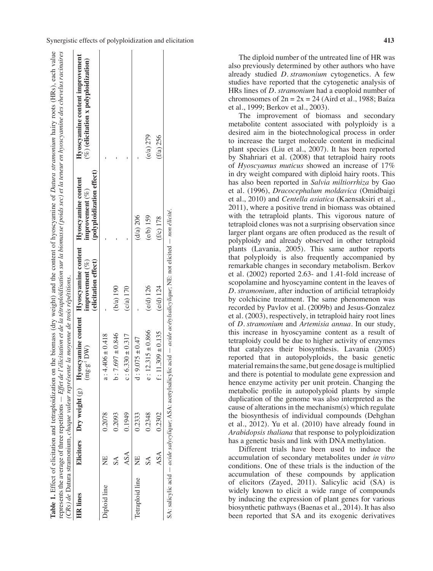| Elicitors Dry weight (g) Hyoscyamine content Hyoscyamine content Hyoscyamine content<br>$b: 7.697 \pm 0.846$<br>$c: 6.330 \pm 0.317$<br>$a:4.406 \pm 0.418$<br>DW)<br>$mg - g^{-1}$<br>0.1949<br>0.2093<br>0.2333<br>0.2078<br>ASA<br>ž<br>Ż<br>$\mathbb{S}\mathbb{A}$<br>Tetraploid line<br>Diploid line<br><b>HR</b> lines |                    |                                            |                                                 |                                                                            |
|------------------------------------------------------------------------------------------------------------------------------------------------------------------------------------------------------------------------------------------------------------------------------------------------------------------------------|--------------------|--------------------------------------------|-------------------------------------------------|----------------------------------------------------------------------------|
|                                                                                                                                                                                                                                                                                                                              |                    | (elicitation effect)<br>improvement $(\%)$ | (polyploidization effect)<br>improvement $(\%)$ | Hyoscyamine content improvement<br>$(\%)$ (elicitation x polyploidization) |
|                                                                                                                                                                                                                                                                                                                              |                    |                                            |                                                 |                                                                            |
|                                                                                                                                                                                                                                                                                                                              |                    | (b/a) 190                                  |                                                 |                                                                            |
|                                                                                                                                                                                                                                                                                                                              |                    | $(c/a)$ 170                                |                                                 |                                                                            |
|                                                                                                                                                                                                                                                                                                                              | $4:9.075 \pm 0.47$ |                                            | (d/a) 206                                       |                                                                            |
| $e: 12.315 \pm 0.866$<br>0.2348<br>$\mathbb{S}\mathbb{A}$                                                                                                                                                                                                                                                                    |                    | $(e/d)$ 126                                | (e/b) 159                                       | (e/a) 279                                                                  |
| $f: 11.309 \pm 0.135$<br>0.2302<br>ASA                                                                                                                                                                                                                                                                                       |                    | $(e/d)$ 124                                | $(f/c)$ 178                                     | (f/a) 256                                                                  |

The diploid number of the untreated line of HR was also previously determined by other authors who have already studied *D. stramonium* cytogenetics. A few studies have reported that the cytogenetic analysis of HRs lines of *D. stramonium* had a euoploid number of chromosomes of  $2n = 2x = 24$  (Aird et al., 1988; Baíza et al., 1999; Berkov et al., 2003).

The improvement of biomass and secondary metabolite content associated with polyploidy is a desired aim in the biotechnological process in order to increase the target molecule content in medicinal plant species (Liu et al., 2007). It has been reported by Shahriari et al. (2008) that tetraploid hairy roots of *Hyoscyamus muticus* showed an increase of 17% in dry weight compared with diploid hairy roots. This has also been reported in *Salvia miltiorrhiza* by Gao et al. (1996), *Dracocephalum moldavica* (Omidbaigi et al., 2010) and *Centella asiatica* (Kaensaksiri et al., 2011), where a positive trend in biomass was obtained with the tetraploid plants. This vigorous nature of tetraploid clones was not a surprising observation since larger plant organs are often produced as the result of polyploidy and already observed in other tetraploid plants (Lavania, 2005). This same author reports that polyploidy is also frequently accompanied by remarkable changes in secondary metabolism. Berkov et al. (2002) reported 2.63- and 1.41-fold increase of scopolamine and hyoscyamine content in the leaves of *D. stramonium*, after induction of artificial tetraploidy by colchicine treatment. The same phenomenon was recorded by Pavlov et al. (2009b) and Jesus-Gonzalez et al. (2003), respectively, in tetraploid hairy root lines of *D. stramonium* and *Artemisia annua*. In our study, this increase in hyoscyamine content as a result of tetraploidy could be due to higher activity of enzymes that catalyzes their biosynthesis. Lavania (2005) reported that in autopolyploids, the basic genetic material remains the same, but gene dosage is multiplied and there is potential to modulate gene expression and hence enzyme activity per unit protein. Changing the metabolic profile in autopolyploid plants by simple duplication of the genome was also interpreted as the cause of alterations in the mechanism $(s)$  which regulate the biosynthesis of individual compounds (Dehghan et al., 2012). Yu et al. (2010) have already found in *Arabidopsis thaliana* that response to polyploidization has a genetic basis and link with DNA methylation.

Different trials have been used to induce the accumulation of secondary metabolites under *in vitro* conditions. One of these trials is the induction of the accumulation of these compounds by application of elicitors (Zayed, 2011). Salicylic acid (SA) is widely known to elicit a wide range of compounds by inducing the expression of plant genes for various biosynthetic pathways (Baenas et al., 2014). It has also been reported that SA and its exogenic derivatives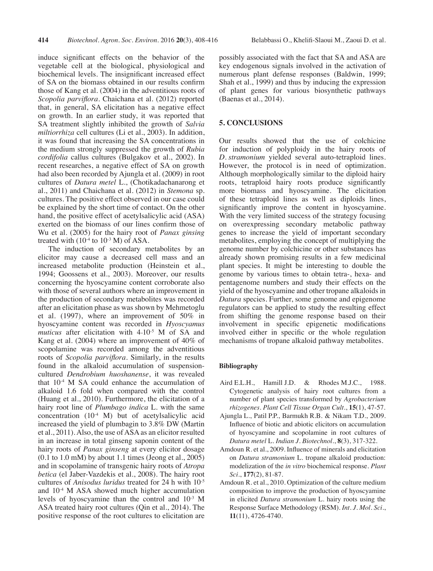of SA on the biomass obtained in our results confirm those of Kang et al. (2004) in the adventitious roots of *Scopolia parviflora*. Chaichana et al. (2012) reported that, in general, SA elicitation has a negative effect on growth. In an earlier study, it was reported that SA treatment slightly inhibited the growth of *Salvia miltiorrhiza* cell cultures (Li et al., 2003). In addition, it was found that increasing the SA concentrations in the medium strongly suppressed the growth of *Rubia cordifolia* callus cultures (Bulgakov et al., 2002). In recent researches, a negative effect of SA on growth had also been recorded by Ajungla et al. (2009) in root cultures of *Datura metel* L., (Chotikadachanarong et al., 2011) and Chaichana et al. (2012) in *Stemona* sp. cultures. The positive effect observed in our case could be explained by the short time of contact. On the other hand, the positive effect of acetylsalicylic acid (ASA) exerted on the biomass of our lines confirm those of Wu et al. (2005) for the hairy root of *Panax ginsing* treated with  $(10^{-4}$  to  $10^{-3}$  M) of ASA.

The induction of secondary metabolites by an elicitor may cause a decreased cell mass and an increased metabolite production (Heinstein et al., 1994; Goossens et al., 2003). Moreover, our results concerning the hyoscyamine content corroborate also with those of several authors where an improvement in the production of secondary metabolites was recorded after an elicitation phase as was shown by Mehmetoglu et al. (1997), where an improvement of 50% in hyoscyamine content was recorded in *Hyoscyamus muticus* after elicitation with 4.10-5 M of SA and Kang et al. (2004) where an improvement of 40% of scopolamine was recorded among the adventitious roots of *Scopolia parviflora*. Similarly, in the results found in the alkaloid accumulation of suspensioncultured *Dendrobium huoshanense*, it was revealed that  $10<sup>-4</sup>$  M SA could enhance the accumulation of alkaloid 1.6 fold when compared with the control (Huang et al., 2010). Furthermore, the elicitation of a hairy root line of *Plumbago indica* L. with the same concentration (10-4 M) but of acetylsalicylic acid increased the yield of plumbagin to 3.8% DW (Martin et al., 2011).Also, the use ofASA as an elicitor resulted in an increase in total ginseng saponin content of the hairy roots of *Panax ginseng* at every elicitor dosage (0.1 to 1.0 mM) by about 1.1 times (Jeong et al., 2005) and in scopolamine of transgenic hairy roots of *Atropa betica* (el Jaber-Vazdekis et al., 2008). The hairy root cultures of *Anisodus luridus* treated for 24 h with 10-5 and  $10<sup>-4</sup>$  M ASA showed much higher accumulation levels of hyoscyamine than the control and 10-3 M ASA treated hairy root cultures (Qin et al., 2014). The positive response of the root cultures to elicitation are

possibly associated with the fact that SA and ASA are key endogenous signals involved in the activation of numerous plant defense responses (Baldwin, 1999; Shah et al., 1999) and thus by inducing the expression of plant genes for various biosynthetic pathways (Baenas et al., 2014).

## **5. CONCLUSIONS**

Our results showed that the use of colchicine for induction of polyploidy in the hairy roots of *D. stramonium* yielded several auto-tetraploid lines. However, the protocol is in need of optimization. Although morphologically similar to the diploid hairy roots, tetraploid hairy roots produce significantly more biomass and hyoscyamine. The elicitation of these tetraploid lines as well as diploids lines, significantly improve the content in hyoscyamine. With the very limited success of the strategy focusing on overexpressing secondary metabolic pathway genes to increase the yield of important secondary metabolites, employing the concept of multiplying the genome number by colchicine or other substances has already shown promising results in a few medicinal plant species. It might be interesting to double the genome by various times to obtain tetra-, hexa- and pentagenome numbers and study their effects on the yield of the hyoscyamine and other tropane alkaloids in *Datura* species. Further, some genome and epigenome regulators can be applied to study the resulting effect from shifting the genome response based on their involvement in specific epigenetic modifications involved either in specific or the whole regulation mechanisms of tropane alkaloid pathway metabolites.

## **Bibliography**

- Aird E.L.H., Hamill J.D. & Rhodes M.J.C., 1988. Cytogenetic analysis of hairy root cultures from a number of plant species transformed by *Agrobacterium rhizogenes*. *Plant Cell Tissue Organ Cult*., **15**(1), 47-57.
- Ajungla L., Patil P.P., Barmukh R.B. & Nikam T.D., 2009. Influence of biotic and abiotic elicitors on accumulation of hyoscyamine and scopolamine in root cultures of *Datura metel* L. *Indian J. Biotechnol.*, **8**(3), 317-322.
- Amdoun R. et al., 2009. Influence of minerals and elicitation on *Datura stramonium* L. tropane alkaloid production: modelization of the *in vitro* biochemical response. *Plant Sci*., **177**(2), 81-87.
- Amdoun R. et al., 2010. Optimization of the culture medium composition to improve the production of hyoscyamine in elicited *Datura stramonium* L. hairy roots using the Response Surface Methodology (RSM). *Int. J. Mol. Sci*., **11**(11), 4726-4740.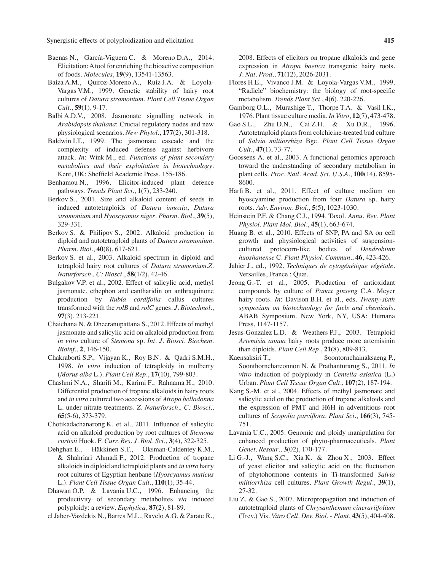Synergistic effects of polyploidization and elicitation **415** 

- Baenas N., García-Viguera C. & Moreno D.A., 2014. Elicitation: A tool for enriching the bioactive composition of foods. *Molecules*, **19**(9), 13541-13563.
- Baíza A.M., Quiroz-Moreno A., Ruíz J.A. & Loyola-Vargas V.M., 1999. Genetic stability of hairy root cultures of *Datura stramonium*. *Plant Cell Tissue Organ Cult.*, **59**(1), 9-17.
- Balbi A.D.V., 2008. Jasmonate signalling network in *Arabidopsis thaliana*: Crucial regulatory nodes and new physiological scenarios. *New Phytol*., **177**(2), 301-318.
- Baldwin I.T., 1999. The jasmonate cascade and the complexity of induced defense against herbivore attack. *In*: Wink M., ed. *Functions of plant secondary metabolites and their exploitation in biotechnology*. Kent, UK: Sheffield Academic Press, 155-186.
- Benhamou N., 1996. Elicitor-induced plant defence pathways. *Trends Plant Sci*., **1**(7), 233-240.
- Berkov S., 2001. Size and alkaloid content of seeds in induced autotetraploids of *Datura innoxia*, *Datura stramonium* and *Hyoscyamus niger*. *Pharm. Biol*., **39**(5), 329-331.
- Berkov S. & Philipov S., 2002. Alkaloid production in diploid and autotetraploid plants of *Datura stramonium*. *Pharm. Biol*., **40**(8), 617-621.
- Berkov S. et al., 2003. Alkaloid spectrum in diploid and tetraploid hairy root cultures of *Datura stramonium*.*Z. Naturforsch., C: Biosci.*, **58**(1/2), 42-46.
- Bulgakov V.P. et al., 2002. Effect of salicylic acid, methyl jasmonate, ethephon and cantharidin on anthraquinone production by *Rubia cordifolia* callus cultures transformed with the *rolB* and *rolC* genes. *J. Biotechnol*., **97**(3), 213-221.
- Chaichana N. & Dheeranupattana S., 2012. Effects of methyl jasmonate and salicylic acid on alkaloid production from *in vitro* culture of *Stemona* sp. *Int. J. Biosci. Biochem. Bioinf*., **2**, 146-150.
- Chakraborti S.P., Vijayan K., Roy B.N. & Qadri S.M.H., 1998. *In vitro* induction of tetraploidy in mulberry (*Morus alba* L.). *Plant Cell Rep*., **17**(10), 799-803.
- Chashmi N.A., Sharifi M., Karimi F., Rahnama H., 2010. Differential production of tropane alkaloids in hairy roots and *in vitro* cultured two accessions of *Atropa belladonna* L. under nitrate treatments. *Z. Naturforsch., C: Biosci.*, **65**(5-6), 373-379.
- Chotikadachanarong K. et al., 2011. Influence of salicylic acid on alkaloid production by root cultures of *Stemona curtisii* Hook. F. *Curr. Res. J. Biol. Sci*., **3**(4), 322-325.
- Dehghan E., Häkkinen S.T., Oksman-Caldentey K.M., & Shahriari Ahmadi F., 2012. Production of tropane alkaloidsin diploid and tetraploid plants and *in vitro* hairy root cultures of Egyptian henbane (*Hyoscyamus muticus* L.). *Plant Cell Tissue Organ Cult*., **110**(1), 35-44.
- Dhawan O.P. & Lavania U.C., 1996. Enhancing the productivity of secondary metabolites *via* induced polyploidy: a review. *Euphytica*, **87**(2), 81-89.
- el Jaber-Vazdekis N., Barres M.L., Ravelo A.G. & Zarate R.,

2008. Effects of elicitors on tropane alkaloids and gene expression in *Atropa baetica* transgenic hairy roots. *J. Nat. Prod*., **71**(12), 2026-2031.

- Flores H.E., Vivanco J.M. & Loyola-Vargas V.M., 1999. "Radicle" biochemistry: the biology of root-specific metabolism. *Trends Plant Sci*., **4**(6), 220-226.
- Gamborg O.L., Murashige T., Thorpe T.A. & Vasil I.K., 1976. Plant tissue culture media. *In Vitro*, **12**(7), 473-478.
- Gao S.L., Zhu D.N., Cai Z.H. & Xu D.R., 1996. Autotetraploid plants from colchicine-treated bud culture of *Salvia miltiorrhiza* Bge. *Plant Cell Tissue Organ Cult.*, **47**(1), 73-77.
- Goossens A. et al., 2003. A functional genomics approach toward the understanding of secondary metabolism in plant cells. *Proc. Natl. Acad. Sci*. *U.S.A*., **100**(14), 8595- 8600.
- Harfi B. et al., 2011. Effect of culture medium on hyoscyamine production from four *Datura* sp. hairy roots. *Adv. Environ. Biol*., **5**(5), 1023-1030.
- Heinstein P.F. & Chang C.J., 1994. Taxol*. Annu. Rev. Plant Physiol. Plant Mol. Biol*., **45**(1), 663-674.
- Huang B. et al., 2010. Effects of SNP, PA and SA on cell growth and physiological activities of suspensioncultured protocorn-like bodies of *Dendrobium huoshanense* C. *Plant Physiol. Commun*., **46**, 423-426.
- Jahier J., ed., 1992. *Techniques de cytogénétique végétale*. Versailles, France : Quæ.
- Jeong G.-T. et al., 2005. Production of antioxidant compounds by culture of *Panax ginseng* C.A. Meyer hairy roots. *In*: Davison B.H. et al., eds. *Twenty-sixth symposium on biotechnology for fuels and chemicals*. ABAB Symposium. New York, NY, USA: Humana Press, 1147-1157.
- Jesus-Gonzalez L.D. & Weathers P.J., 2003. Tetraploid *Artemisia annua* hairy roots produce more artemisinin than diploids. *Plant Cell Rep*., **21**(8), 809-813.
- Kaensaksiri T., Soontornchainaksaeng P., Soonthornchareonnon N. & Prathanturarug S., 2011. *In vitro* induction of polyploidy in *Centella asiatica* (L.) Urban. *Plant Cell Tissue Organ Cult.*, **107**(2), 187-194.
- Kang S.-M. et al., 2004. Effects of methyl jasmonate and salicylic acid on the production of tropane alkaloids and the expression of PMT and H6H in adventitious root cultures of *Scopolia parviflora*. *Plant Sci*., **166**(3), 745- 751.
- Lavania U.C., 2005. Genomic and ploidy manipulation for enhanced production of phyto-pharmaceuticals. *Plant Genet. Resour*., **3**(02), 170-177.
- Li G.-J., Wang S.C., Xia K. & Zhou X., 2003. Effect of yeast elicitor and salicylic acid on the fluctuation of phytohormone contents in Ti-transformed *Salvia miltiorrhiza* cell cultures. *Plant Growth Regul*., **39**(1), 27-32.
- Liu Z. & Gao S., 2007. Micropropagation and induction of autotetraploid plants of *Chrysanthemum cinerariifolium* (Trev.) Vis. *Vitro Cell. Dev. Biol. - Plant*, **43**(5), 404-408.